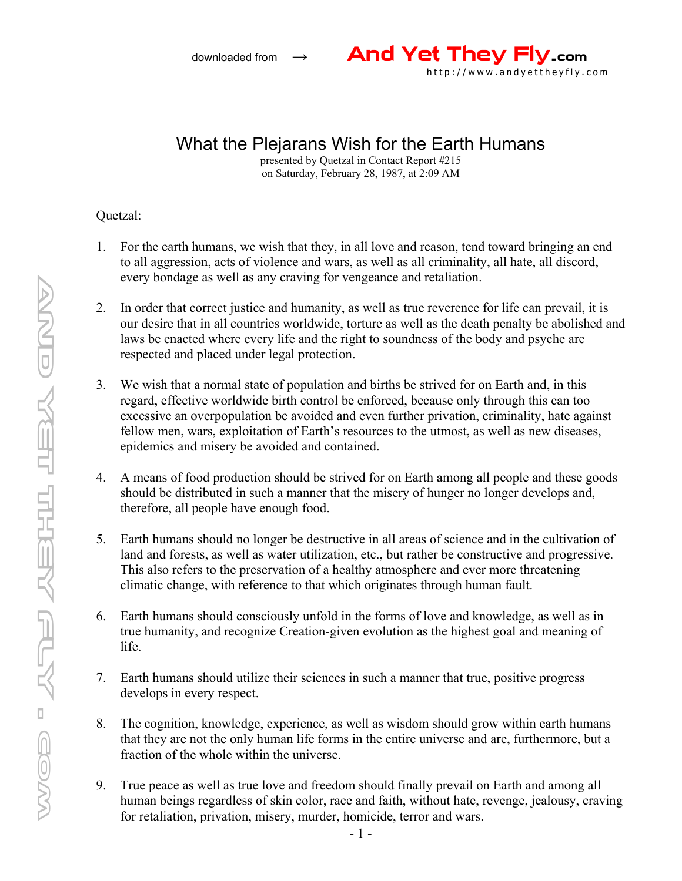

## What the Plejarans Wish for the Earth Humans

presented by Quetzal in Contact Report #215 on Saturday, February 28, 1987, at 2:09 AM

Quetzal:

- 1. For the earth humans, we wish that they, in all love and reason, tend toward bringing an end to all aggression, acts of violence and wars, as well as all criminality, all hate, all discord, every bondage as well as any craving for vengeance and retaliation.
- 2. In order that correct justice and humanity, as well as true reverence for life can prevail, it is our desire that in all countries worldwide, torture as well as the death penalty be abolished and laws be enacted where every life and the right to soundness of the body and psyche are respected and placed under legal protection.
- 3. We wish that a normal state of population and births be strived for on Earth and, in this regard, effective worldwide birth control be enforced, because only through this can too excessive an overpopulation be avoided and even further privation, criminality, hate against fellow men, wars, exploitation of Earth's resources to the utmost, as well as new diseases, epidemics and misery be avoided and contained.
- 4. A means of food production should be strived for on Earth among all people and these goods should be distributed in such a manner that the misery of hunger no longer develops and, therefore, all people have enough food.
- 5. Earth humans should no longer be destructive in all areas of science and in the cultivation of land and forests, as well as water utilization, etc., but rather be constructive and progressive. This also refers to the preservation of a healthy atmosphere and ever more threatening climatic change, with reference to that which originates through human fault.
- 6. Earth humans should consciously unfold in the forms of love and knowledge, as well as in true humanity, and recognize Creation-given evolution as the highest goal and meaning of life.
- 7. Earth humans should utilize their sciences in such a manner that true, positive progress develops in every respect.
- 8. The cognition, knowledge, experience, as well as wisdom should grow within earth humans that they are not the only human life forms in the entire universe and are, furthermore, but a fraction of the whole within the universe.
- 9. True peace as well as true love and freedom should finally prevail on Earth and among all human beings regardless of skin color, race and faith, without hate, revenge, jealousy, craving for retaliation, privation, misery, murder, homicide, terror and wars.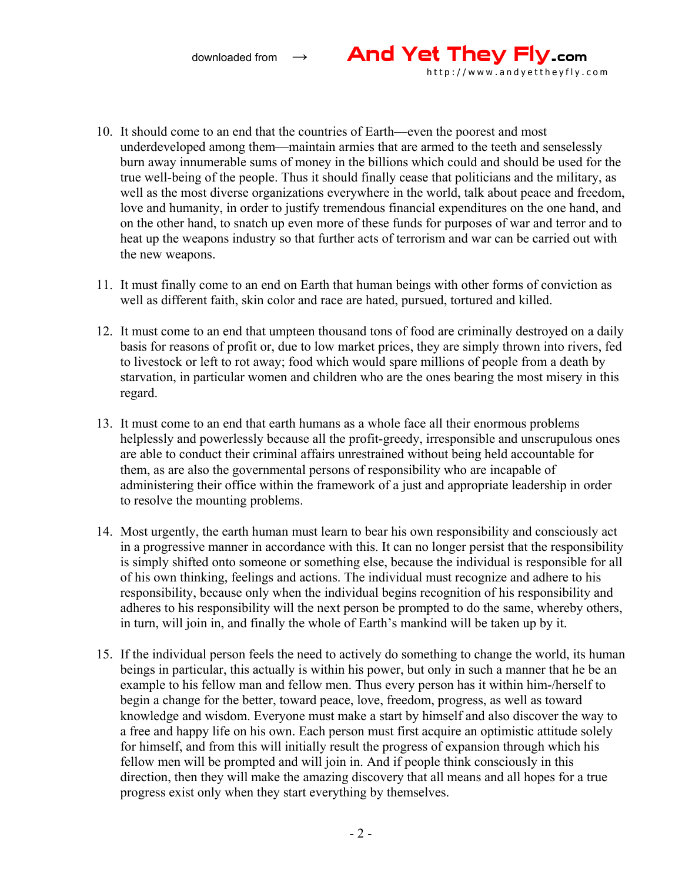downloaded from <sup>→</sup> And Yet They Fly.com

10. It should come to an end that the countries of Earth—even the poorest and most underdeveloped among them—maintain armies that are armed to the teeth and senselessly burn away innumerable sums of money in the billions which could and should be used for the true well-being of the people. Thus it should finally cease that politicians and the military, as well as the most diverse organizations everywhere in the world, talk about peace and freedom, love and humanity, in order to justify tremendous financial expenditures on the one hand, and on the other hand, to snatch up even more of these funds for purposes of war and terror and to heat up the weapons industry so that further acts of terrorism and war can be carried out with the new weapons.

http://www.andyettheyfly.com

- 11. It must finally come to an end on Earth that human beings with other forms of conviction as well as different faith, skin color and race are hated, pursued, tortured and killed.
- 12. It must come to an end that umpteen thousand tons of food are criminally destroyed on a daily basis for reasons of profit or, due to low market prices, they are simply thrown into rivers, fed to livestock or left to rot away; food which would spare millions of people from a death by starvation, in particular women and children who are the ones bearing the most misery in this regard.
- 13. It must come to an end that earth humans as a whole face all their enormous problems helplessly and powerlessly because all the profit-greedy, irresponsible and unscrupulous ones are able to conduct their criminal affairs unrestrained without being held accountable for them, as are also the governmental persons of responsibility who are incapable of administering their office within the framework of a just and appropriate leadership in order to resolve the mounting problems.
- 14. Most urgently, the earth human must learn to bear his own responsibility and consciously act in a progressive manner in accordance with this. It can no longer persist that the responsibility is simply shifted onto someone or something else, because the individual is responsible for all of his own thinking, feelings and actions. The individual must recognize and adhere to his responsibility, because only when the individual begins recognition of his responsibility and adheres to his responsibility will the next person be prompted to do the same, whereby others, in turn, will join in, and finally the whole of Earth's mankind will be taken up by it.
- 15. If the individual person feels the need to actively do something to change the world, its human beings in particular, this actually is within his power, but only in such a manner that he be an example to his fellow man and fellow men. Thus every person has it within him-/herself to begin a change for the better, toward peace, love, freedom, progress, as well as toward knowledge and wisdom. Everyone must make a start by himself and also discover the way to a free and happy life on his own. Each person must first acquire an optimistic attitude solely for himself, and from this will initially result the progress of expansion through which his fellow men will be prompted and will join in. And if people think consciously in this direction, then they will make the amazing discovery that all means and all hopes for a true progress exist only when they start everything by themselves.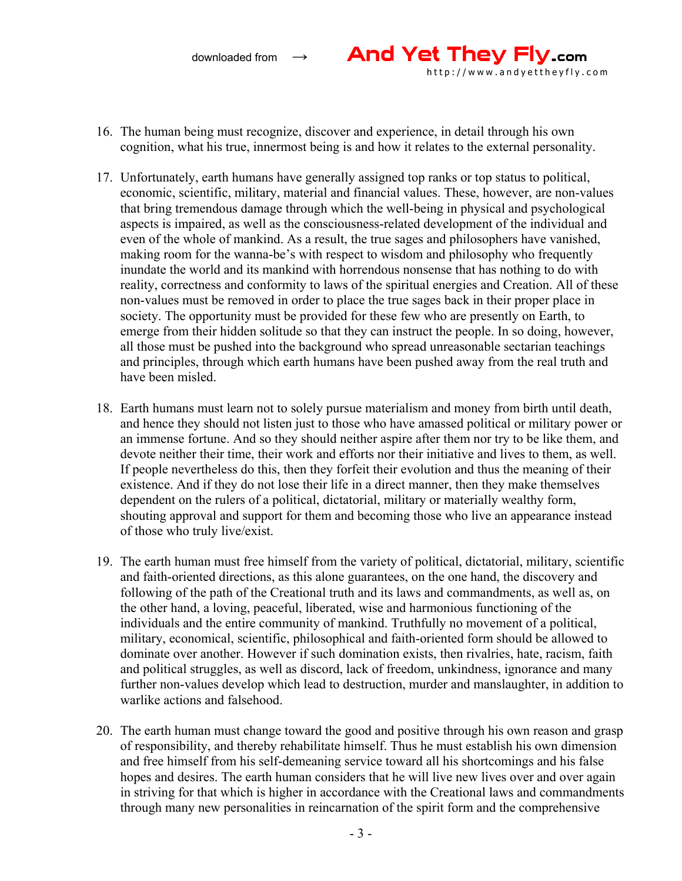

- 16. The human being must recognize, discover and experience, in detail through his own cognition, what his true, innermost being is and how it relates to the external personality.
- 17. Unfortunately, earth humans have generally assigned top ranks or top status to political, economic, scientific, military, material and financial values. These, however, are non-values that bring tremendous damage through which the well-being in physical and psychological aspects is impaired, as well as the consciousness-related development of the individual and even of the whole of mankind. As a result, the true sages and philosophers have vanished, making room for the wanna-be's with respect to wisdom and philosophy who frequently inundate the world and its mankind with horrendous nonsense that has nothing to do with reality, correctness and conformity to laws of the spiritual energies and Creation. All of these non-values must be removed in order to place the true sages back in their proper place in society. The opportunity must be provided for these few who are presently on Earth, to emerge from their hidden solitude so that they can instruct the people. In so doing, however, all those must be pushed into the background who spread unreasonable sectarian teachings and principles, through which earth humans have been pushed away from the real truth and have been misled.
- 18. Earth humans must learn not to solely pursue materialism and money from birth until death, and hence they should not listen just to those who have amassed political or military power or an immense fortune. And so they should neither aspire after them nor try to be like them, and devote neither their time, their work and efforts nor their initiative and lives to them, as well. If people nevertheless do this, then they forfeit their evolution and thus the meaning of their existence. And if they do not lose their life in a direct manner, then they make themselves dependent on the rulers of a political, dictatorial, military or materially wealthy form, shouting approval and support for them and becoming those who live an appearance instead of those who truly live/exist.
- 19. The earth human must free himself from the variety of political, dictatorial, military, scientific and faith-oriented directions, as this alone guarantees, on the one hand, the discovery and following of the path of the Creational truth and its laws and commandments, as well as, on the other hand, a loving, peaceful, liberated, wise and harmonious functioning of the individuals and the entire community of mankind. Truthfully no movement of a political, military, economical, scientific, philosophical and faith-oriented form should be allowed to dominate over another. However if such domination exists, then rivalries, hate, racism, faith and political struggles, as well as discord, lack of freedom, unkindness, ignorance and many further non-values develop which lead to destruction, murder and manslaughter, in addition to warlike actions and falsehood.
- 20. The earth human must change toward the good and positive through his own reason and grasp of responsibility, and thereby rehabilitate himself. Thus he must establish his own dimension and free himself from his self-demeaning service toward all his shortcomings and his false hopes and desires. The earth human considers that he will live new lives over and over again in striving for that which is higher in accordance with the Creational laws and commandments through many new personalities in reincarnation of the spirit form and the comprehensive